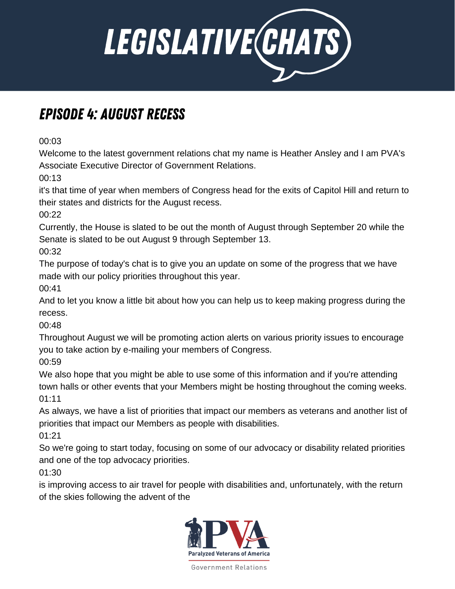

## Episode 4: August Recess

00:03

Welcome to the latest government relations chat my name is Heather Ansley and I am PVA's Associate Executive Director of Government Relations.

00:13

it's that time of year when members of Congress head for the exits of Capitol Hill and return to their states and districts for the August recess.

00:22

Currently, the House is slated to be out the month of August through September 20 while the Senate is slated to be out August 9 through September 13.

00:32

The purpose of today's chat is to give you an update on some of the progress that we have made with our policy priorities throughout this year.

00:41

And to let you know a little bit about how you can help us to keep making progress during the recess.

00:48

Throughout August we will be promoting action alerts on various priority issues to encourage you to take action by e-mailing your members of Congress.

00:59

We also hope that you might be able to use some of this information and if you're attending town halls or other events that your Members might be hosting throughout the coming weeks.  $01:11$ 

As always, we have a list of priorities that impact our members as veterans and another list of priorities that impact our Members as people with disabilities.

01:21

So we're going to start today, focusing on some of our advocacy or disability related priorities and one of the top advocacy priorities.

01:30

is improving access to air travel for people with disabilities and, unfortunately, with the return of the skies following the advent of the

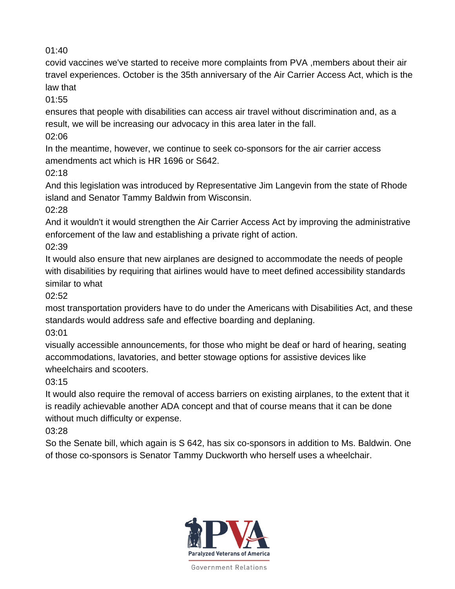covid vaccines we've started to receive more complaints from PVA ,members about their air travel experiences. October is the 35th anniversary of the Air Carrier Access Act, which is the law that

01:55

ensures that people with disabilities can access air travel without discrimination and, as a result, we will be increasing our advocacy in this area later in the fall.

02:06

In the meantime, however, we continue to seek co-sponsors for the air carrier access amendments act which is HR 1696 or S642.

02:18

And this legislation was introduced by Representative Jim Langevin from the state of Rhode island and Senator Tammy Baldwin from Wisconsin.

02:28

And it wouldn't it would strengthen the Air Carrier Access Act by improving the administrative enforcement of the law and establishing a private right of action.

02:39

It would also ensure that new airplanes are designed to accommodate the needs of people with disabilities by requiring that airlines would have to meet defined accessibility standards similar to what

02:52

most transportation providers have to do under the Americans with Disabilities Act, and these standards would address safe and effective boarding and deplaning.

03:01

visually accessible announcements, for those who might be deaf or hard of hearing, seating accommodations, lavatories, and better stowage options for assistive devices like wheelchairs and scooters.

03:15

It would also require the removal of access barriers on existing airplanes, to the extent that it is readily achievable another ADA concept and that of course means that it can be done without much difficulty or expense.

03:28

So the Senate bill, which again is S 642, has six co-sponsors in addition to Ms. Baldwin. One of those co-sponsors is Senator Tammy Duckworth who herself uses a wheelchair.

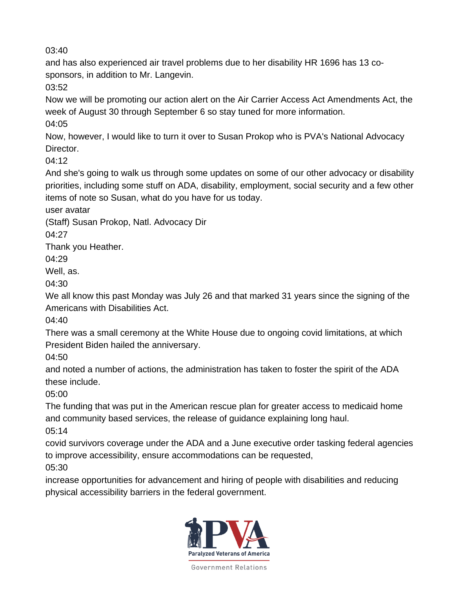and has also experienced air travel problems due to her disability HR 1696 has 13 cosponsors, in addition to Mr. Langevin.

03:52

Now we will be promoting our action alert on the Air Carrier Access Act Amendments Act, the week of August 30 through September 6 so stay tuned for more information.

04:05

Now, however, I would like to turn it over to Susan Prokop who is PVA's National Advocacy Director.

04:12

And she's going to walk us through some updates on some of our other advocacy or disability priorities, including some stuff on ADA, disability, employment, social security and a few other items of note so Susan, what do you have for us today.

user avatar

(Staff) Susan Prokop, Natl. Advocacy Dir

04:27

Thank you Heather.

04:29

Well, as.

04:30

We all know this past Monday was July 26 and that marked 31 years since the signing of the Americans with Disabilities Act.

04:40

There was a small ceremony at the White House due to ongoing covid limitations, at which President Biden hailed the anniversary.

04:50

and noted a number of actions, the administration has taken to foster the spirit of the ADA these include.

05:00

The funding that was put in the American rescue plan for greater access to medicaid home and community based services, the release of guidance explaining long haul. 05:14

covid survivors coverage under the ADA and a June executive order tasking federal agencies to improve accessibility, ensure accommodations can be requested,

05:30

increase opportunities for advancement and hiring of people with disabilities and reducing physical accessibility barriers in the federal government.

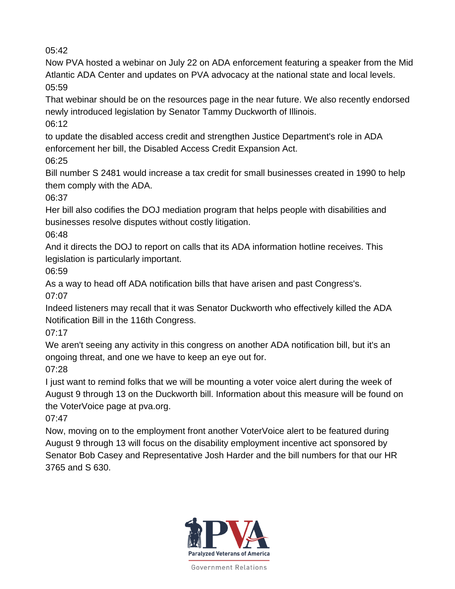Now PVA hosted a webinar on July 22 on ADA enforcement featuring a speaker from the Mid Atlantic ADA Center and updates on PVA advocacy at the national state and local levels. 05:59

That webinar should be on the resources page in the near future. We also recently endorsed newly introduced legislation by Senator Tammy Duckworth of Illinois.

06:12

to update the disabled access credit and strengthen Justice Department's role in ADA enforcement her bill, the Disabled Access Credit Expansion Act.

06:25

Bill number S 2481 would increase a tax credit for small businesses created in 1990 to help them comply with the ADA.

06:37

Her bill also codifies the DOJ mediation program that helps people with disabilities and businesses resolve disputes without costly litigation.

06:48

And it directs the DOJ to report on calls that its ADA information hotline receives. This legislation is particularly important.

06:59

As a way to head off ADA notification bills that have arisen and past Congress's.

07:07

Indeed listeners may recall that it was Senator Duckworth who effectively killed the ADA Notification Bill in the 116th Congress.

07:17

We aren't seeing any activity in this congress on another ADA notification bill, but it's an ongoing threat, and one we have to keep an eye out for.

07:28

I just want to remind folks that we will be mounting a voter voice alert during the week of August 9 through 13 on the Duckworth bill. Information about this measure will be found on the VoterVoice page at pva.org.

07:47

Now, moving on to the employment front another VoterVoice alert to be featured during August 9 through 13 will focus on the disability employment incentive act sponsored by Senator Bob Casey and Representative Josh Harder and the bill numbers for that our HR 3765 and S 630.

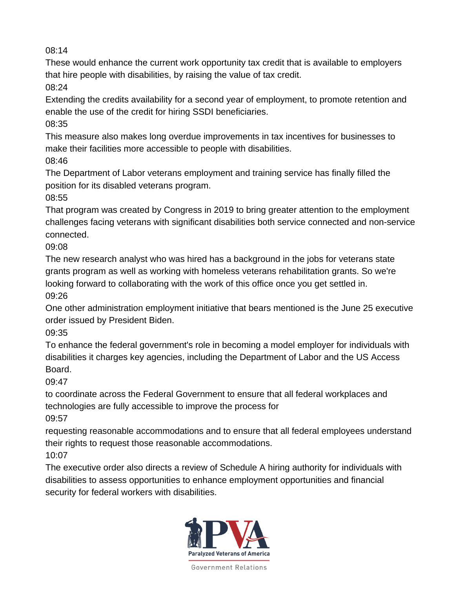These would enhance the current work opportunity tax credit that is available to employers that hire people with disabilities, by raising the value of tax credit.

08:24

Extending the credits availability for a second year of employment, to promote retention and enable the use of the credit for hiring SSDI beneficiaries.

08:35

This measure also makes long overdue improvements in tax incentives for businesses to make their facilities more accessible to people with disabilities.

08:46

The Department of Labor veterans employment and training service has finally filled the position for its disabled veterans program.

08:55

That program was created by Congress in 2019 to bring greater attention to the employment challenges facing veterans with significant disabilities both service connected and non-service connected.

09:08

The new research analyst who was hired has a background in the jobs for veterans state grants program as well as working with homeless veterans rehabilitation grants. So we're looking forward to collaborating with the work of this office once you get settled in. 09:26

One other administration employment initiative that bears mentioned is the June 25 executive order issued by President Biden.

09:35

To enhance the federal government's role in becoming a model employer for individuals with disabilities it charges key agencies, including the Department of Labor and the US Access Board.

09:47

to coordinate across the Federal Government to ensure that all federal workplaces and technologies are fully accessible to improve the process for

09:57

requesting reasonable accommodations and to ensure that all federal employees understand their rights to request those reasonable accommodations.

10:07

The executive order also directs a review of Schedule A hiring authority for individuals with disabilities to assess opportunities to enhance employment opportunities and financial security for federal workers with disabilities.

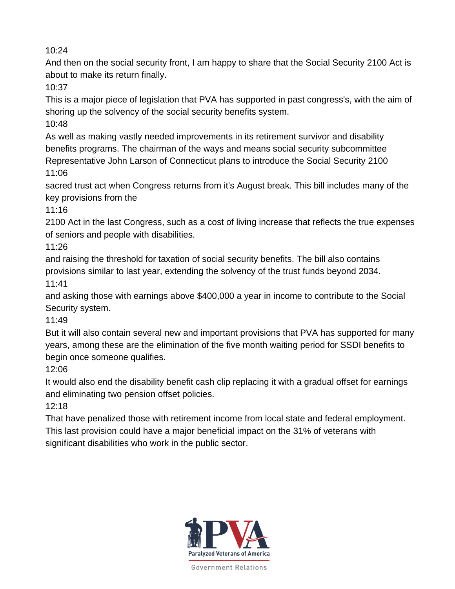And then on the social security front, I am happy to share that the Social Security 2100 Act is about to make its return finally.

10:37

This is a major piece of legislation that PVA has supported in past congress's, with the aim of shoring up the solvency of the social security benefits system.

10:48

As well as making vastly needed improvements in its retirement survivor and disability benefits programs. The chairman of the ways and means social security subcommittee Representative John Larson of Connecticut plans to introduce the Social Security 2100 11:06

sacred trust act when Congress returns from it's August break. This bill includes many of the key provisions from the

11:16

2100 Act in the last Congress, such as a cost of living increase that reflects the true expenses of seniors and people with disabilities.

11:26

and raising the threshold for taxation of social security benefits. The bill also contains provisions similar to last year, extending the solvency of the trust funds beyond 2034. 11:41

and asking those with earnings above \$400,000 a year in income to contribute to the Social Security system.

11:49

But it will also contain several new and important provisions that PVA has supported for many years, among these are the elimination of the five month waiting period for SSDI benefits to begin once someone qualifies.

12:06

It would also end the disability benefit cash clip replacing it with a gradual offset for earnings and eliminating two pension offset policies.

12:18

That have penalized those with retirement income from local state and federal employment. This last provision could have a major beneficial impact on the 31% of veterans with significant disabilities who work in the public sector.

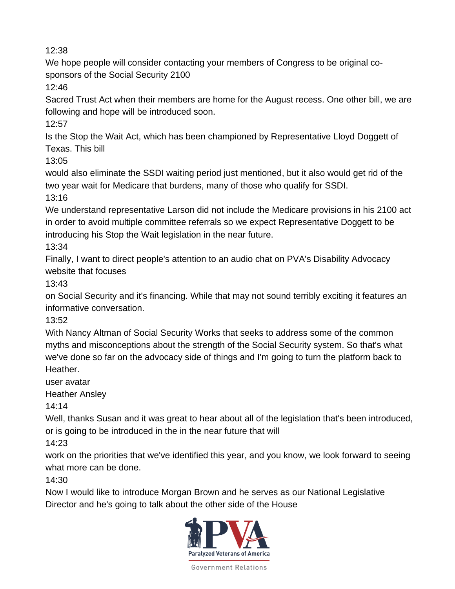We hope people will consider contacting your members of Congress to be original cosponsors of the Social Security 2100

12:46

Sacred Trust Act when their members are home for the August recess. One other bill, we are following and hope will be introduced soon.

12:57

Is the Stop the Wait Act, which has been championed by Representative Lloyd Doggett of Texas. This bill

13:05

would also eliminate the SSDI waiting period just mentioned, but it also would get rid of the two year wait for Medicare that burdens, many of those who qualify for SSDI.

13:16

We understand representative Larson did not include the Medicare provisions in his 2100 act in order to avoid multiple committee referrals so we expect Representative Doggett to be introducing his Stop the Wait legislation in the near future.

13:34

Finally, I want to direct people's attention to an audio chat on PVA's Disability Advocacy website that focuses

13:43

on Social Security and it's financing. While that may not sound terribly exciting it features an informative conversation.

13:52

With Nancy Altman of Social Security Works that seeks to address some of the common myths and misconceptions about the strength of the Social Security system. So that's what we've done so far on the advocacy side of things and I'm going to turn the platform back to Heather.

user avatar

Heather Ansley

14:14

Well, thanks Susan and it was great to hear about all of the legislation that's been introduced, or is going to be introduced in the in the near future that will

14:23

work on the priorities that we've identified this year, and you know, we look forward to seeing what more can be done.

14:30

Now I would like to introduce Morgan Brown and he serves as our National Legislative Director and he's going to talk about the other side of the House

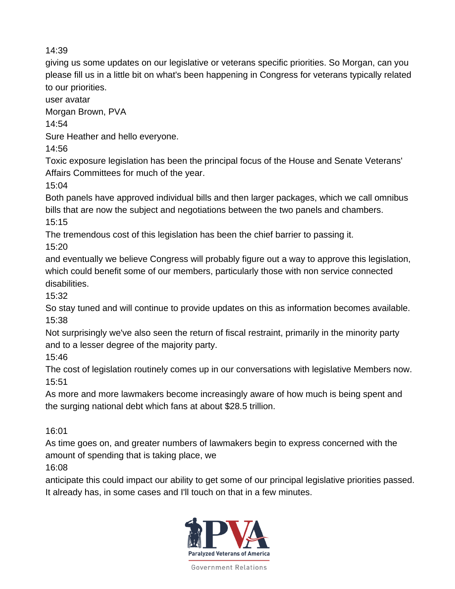giving us some updates on our legislative or veterans specific priorities. So Morgan, can you please fill us in a little bit on what's been happening in Congress for veterans typically related to our priorities.

user avatar

Morgan Brown, PVA

14:54

Sure Heather and hello everyone.

14:56

Toxic exposure legislation has been the principal focus of the House and Senate Veterans' Affairs Committees for much of the year.

15:04

Both panels have approved individual bills and then larger packages, which we call omnibus bills that are now the subject and negotiations between the two panels and chambers. 15:15

The tremendous cost of this legislation has been the chief barrier to passing it.

15:20

and eventually we believe Congress will probably figure out a way to approve this legislation, which could benefit some of our members, particularly those with non service connected disabilities.

15:32

So stay tuned and will continue to provide updates on this as information becomes available. 15:38

Not surprisingly we've also seen the return of fiscal restraint, primarily in the minority party and to a lesser degree of the majority party.

15:46

The cost of legislation routinely comes up in our conversations with legislative Members now. 15:51

As more and more lawmakers become increasingly aware of how much is being spent and the surging national debt which fans at about \$28.5 trillion.

16:01

As time goes on, and greater numbers of lawmakers begin to express concerned with the amount of spending that is taking place, we

16:08

anticipate this could impact our ability to get some of our principal legislative priorities passed. It already has, in some cases and I'll touch on that in a few minutes.

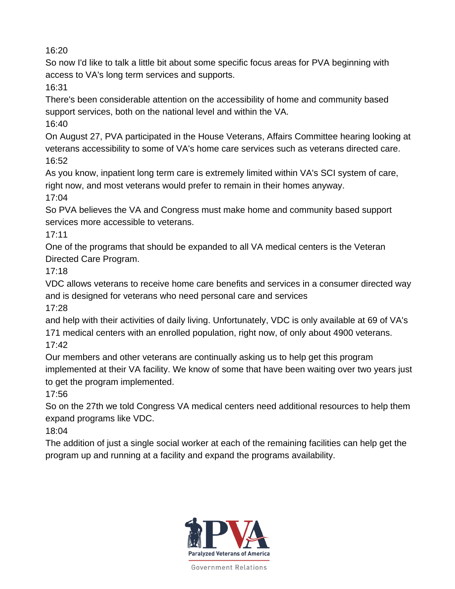So now I'd like to talk a little bit about some specific focus areas for PVA beginning with access to VA's long term services and supports.

16:31

There's been considerable attention on the accessibility of home and community based support services, both on the national level and within the VA.

16:40

On August 27, PVA participated in the House Veterans, Affairs Committee hearing looking at veterans accessibility to some of VA's home care services such as veterans directed care. 16:52

As you know, inpatient long term care is extremely limited within VA's SCI system of care, right now, and most veterans would prefer to remain in their homes anyway.

17:04

So PVA believes the VA and Congress must make home and community based support services more accessible to veterans.

17:11

One of the programs that should be expanded to all VA medical centers is the Veteran Directed Care Program.

17:18

VDC allows veterans to receive home care benefits and services in a consumer directed way and is designed for veterans who need personal care and services

17:28

and help with their activities of daily living. Unfortunately, VDC is only available at 69 of VA's 171 medical centers with an enrolled population, right now, of only about 4900 veterans. 17:42

Our members and other veterans are continually asking us to help get this program implemented at their VA facility. We know of some that have been waiting over two years just to get the program implemented.

17:56

So on the 27th we told Congress VA medical centers need additional resources to help them expand programs like VDC.

18:04

The addition of just a single social worker at each of the remaining facilities can help get the program up and running at a facility and expand the programs availability.

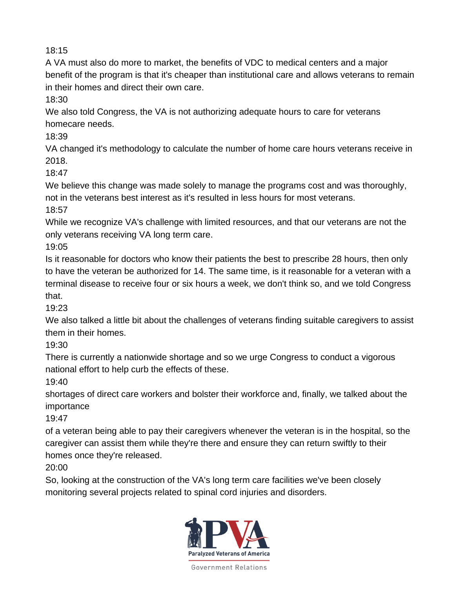A VA must also do more to market, the benefits of VDC to medical centers and a major benefit of the program is that it's cheaper than institutional care and allows veterans to remain in their homes and direct their own care.

18:30

We also told Congress, the VA is not authorizing adequate hours to care for veterans homecare needs.

18:39

VA changed it's methodology to calculate the number of home care hours veterans receive in 2018.

18:47

We believe this change was made solely to manage the programs cost and was thoroughly, not in the veterans best interest as it's resulted in less hours for most veterans.

18:57

While we recognize VA's challenge with limited resources, and that our veterans are not the only veterans receiving VA long term care.

19:05

Is it reasonable for doctors who know their patients the best to prescribe 28 hours, then only to have the veteran be authorized for 14. The same time, is it reasonable for a veteran with a terminal disease to receive four or six hours a week, we don't think so, and we told Congress that.

19:23

We also talked a little bit about the challenges of veterans finding suitable caregivers to assist them in their homes.

19:30

There is currently a nationwide shortage and so we urge Congress to conduct a vigorous national effort to help curb the effects of these.

19:40

shortages of direct care workers and bolster their workforce and, finally, we talked about the importance

19:47

of a veteran being able to pay their caregivers whenever the veteran is in the hospital, so the caregiver can assist them while they're there and ensure they can return swiftly to their homes once they're released.

20:00

So, looking at the construction of the VA's long term care facilities we've been closely monitoring several projects related to spinal cord injuries and disorders.

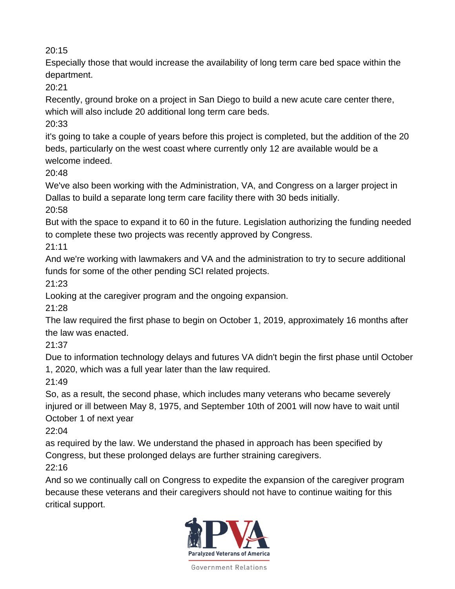Especially those that would increase the availability of long term care bed space within the department.

20:21

Recently, ground broke on a project in San Diego to build a new acute care center there, which will also include 20 additional long term care beds.

20:33

it's going to take a couple of years before this project is completed, but the addition of the 20 beds, particularly on the west coast where currently only 12 are available would be a welcome indeed.

20:48

We've also been working with the Administration, VA, and Congress on a larger project in Dallas to build a separate long term care facility there with 30 beds initially.

20:58

But with the space to expand it to 60 in the future. Legislation authorizing the funding needed to complete these two projects was recently approved by Congress.

21:11

And we're working with lawmakers and VA and the administration to try to secure additional funds for some of the other pending SCI related projects.

21:23

Looking at the caregiver program and the ongoing expansion.

21:28

The law required the first phase to begin on October 1, 2019, approximately 16 months after the law was enacted.

21:37

Due to information technology delays and futures VA didn't begin the first phase until October 1, 2020, which was a full year later than the law required.

21:49

So, as a result, the second phase, which includes many veterans who became severely injured or ill between May 8, 1975, and September 10th of 2001 will now have to wait until October 1 of next year

22:04

as required by the law. We understand the phased in approach has been specified by Congress, but these prolonged delays are further straining caregivers.

22:16

And so we continually call on Congress to expedite the expansion of the caregiver program because these veterans and their caregivers should not have to continue waiting for this critical support.

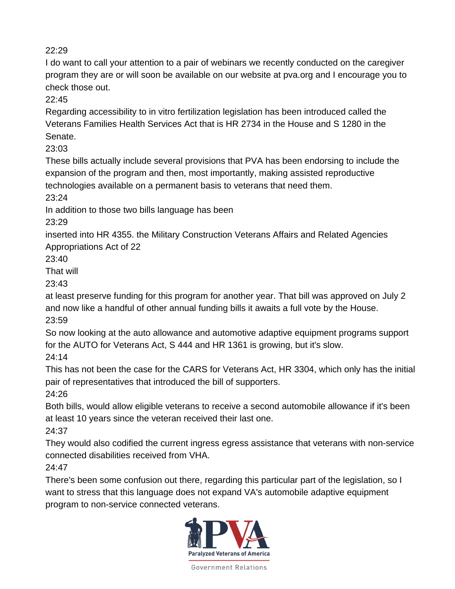I do want to call your attention to a pair of webinars we recently conducted on the caregiver program they are or will soon be available on our website at pva.org and I encourage you to check those out.

22:45

Regarding accessibility to in vitro fertilization legislation has been introduced called the Veterans Families Health Services Act that is HR 2734 in the House and S 1280 in the Senate.

23:03

These bills actually include several provisions that PVA has been endorsing to include the expansion of the program and then, most importantly, making assisted reproductive technologies available on a permanent basis to veterans that need them.

23:24

In addition to those two bills language has been

23:29

inserted into HR 4355. the Military Construction Veterans Affairs and Related Agencies Appropriations Act of 22

23:40

That will

23:43

at least preserve funding for this program for another year. That bill was approved on July 2 and now like a handful of other annual funding bills it awaits a full vote by the House. 23:59

So now looking at the auto allowance and automotive adaptive equipment programs support for the AUTO for Veterans Act, S 444 and HR 1361 is growing, but it's slow.

24:14

This has not been the case for the CARS for Veterans Act, HR 3304, which only has the initial pair of representatives that introduced the bill of supporters.

24:26

Both bills, would allow eligible veterans to receive a second automobile allowance if it's been at least 10 years since the veteran received their last one.

24:37

They would also codified the current ingress egress assistance that veterans with non-service connected disabilities received from VHA.

24:47

There's been some confusion out there, regarding this particular part of the legislation, so I want to stress that this language does not expand VA's automobile adaptive equipment program to non-service connected veterans.

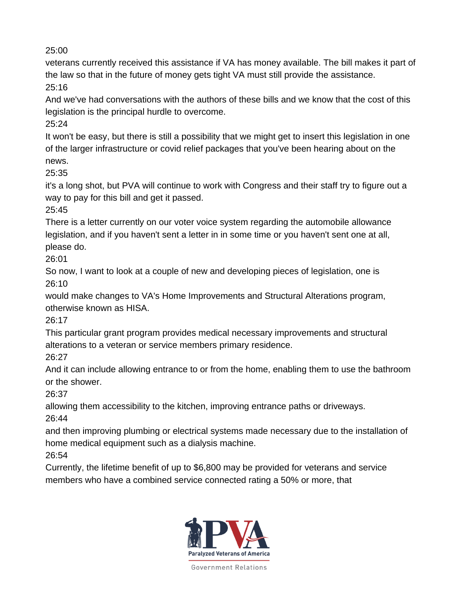veterans currently received this assistance if VA has money available. The bill makes it part of the law so that in the future of money gets tight VA must still provide the assistance. 25:16

And we've had conversations with the authors of these bills and we know that the cost of this legislation is the principal hurdle to overcome.

25:24

It won't be easy, but there is still a possibility that we might get to insert this legislation in one of the larger infrastructure or covid relief packages that you've been hearing about on the news.

25:35

it's a long shot, but PVA will continue to work with Congress and their staff try to figure out a way to pay for this bill and get it passed.

25:45

There is a letter currently on our voter voice system regarding the automobile allowance legislation, and if you haven't sent a letter in in some time or you haven't sent one at all, please do.

26:01

So now, I want to look at a couple of new and developing pieces of legislation, one is 26:10

would make changes to VA's Home Improvements and Structural Alterations program, otherwise known as HISA.

26:17

This particular grant program provides medical necessary improvements and structural alterations to a veteran or service members primary residence.

26:27

And it can include allowing entrance to or from the home, enabling them to use the bathroom or the shower.

26:37

allowing them accessibility to the kitchen, improving entrance paths or driveways. 26:44

and then improving plumbing or electrical systems made necessary due to the installation of home medical equipment such as a dialysis machine.

26:54

Currently, the lifetime benefit of up to \$6,800 may be provided for veterans and service members who have a combined service connected rating a 50% or more, that

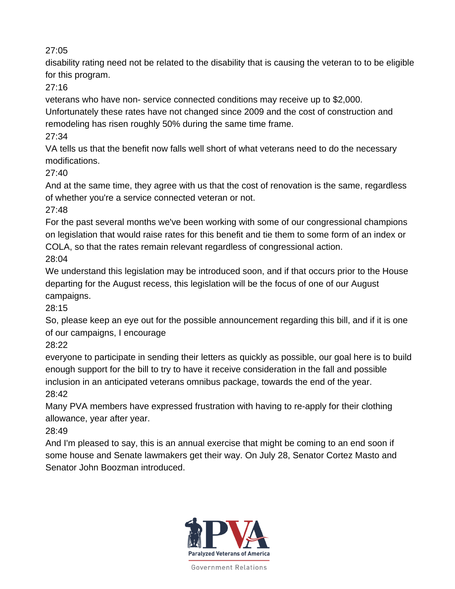disability rating need not be related to the disability that is causing the veteran to to be eligible for this program.

27:16

veterans who have non- service connected conditions may receive up to \$2,000.

Unfortunately these rates have not changed since 2009 and the cost of construction and remodeling has risen roughly 50% during the same time frame.

27:34

VA tells us that the benefit now falls well short of what veterans need to do the necessary modifications.

 $27:40$ 

And at the same time, they agree with us that the cost of renovation is the same, regardless of whether you're a service connected veteran or not.

27:48

For the past several months we've been working with some of our congressional champions on legislation that would raise rates for this benefit and tie them to some form of an index or COLA, so that the rates remain relevant regardless of congressional action. 28:04

We understand this legislation may be introduced soon, and if that occurs prior to the House departing for the August recess, this legislation will be the focus of one of our August campaigns.

28:15

So, please keep an eye out for the possible announcement regarding this bill, and if it is one of our campaigns, I encourage

28:22

everyone to participate in sending their letters as quickly as possible, our goal here is to build enough support for the bill to try to have it receive consideration in the fall and possible inclusion in an anticipated veterans omnibus package, towards the end of the year. 28:42

Many PVA members have expressed frustration with having to re-apply for their clothing allowance, year after year.

28:49

And I'm pleased to say, this is an annual exercise that might be coming to an end soon if some house and Senate lawmakers get their way. On July 28, Senator Cortez Masto and Senator John Boozman introduced.

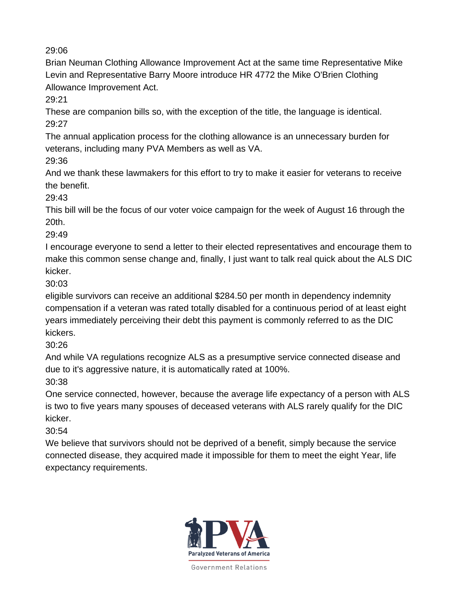Brian Neuman Clothing Allowance Improvement Act at the same time Representative Mike Levin and Representative Barry Moore introduce HR 4772 the Mike O'Brien Clothing Allowance Improvement Act.

29:21

These are companion bills so, with the exception of the title, the language is identical. 29:27

The annual application process for the clothing allowance is an unnecessary burden for veterans, including many PVA Members as well as VA.

29:36

And we thank these lawmakers for this effort to try to make it easier for veterans to receive the benefit.

29:43

This bill will be the focus of our voter voice campaign for the week of August 16 through the 20th.

29:49

I encourage everyone to send a letter to their elected representatives and encourage them to make this common sense change and, finally, I just want to talk real quick about the ALS DIC kicker.

30:03

eligible survivors can receive an additional \$284.50 per month in dependency indemnity compensation if a veteran was rated totally disabled for a continuous period of at least eight years immediately perceiving their debt this payment is commonly referred to as the DIC kickers.

30:26

And while VA regulations recognize ALS as a presumptive service connected disease and due to it's aggressive nature, it is automatically rated at 100%.

30:38

One service connected, however, because the average life expectancy of a person with ALS is two to five years many spouses of deceased veterans with ALS rarely qualify for the DIC kicker.

30:54

We believe that survivors should not be deprived of a benefit, simply because the service connected disease, they acquired made it impossible for them to meet the eight Year, life expectancy requirements.

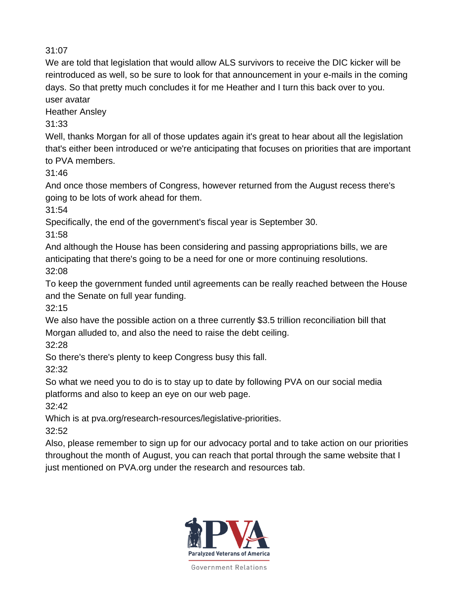We are told that legislation that would allow ALS survivors to receive the DIC kicker will be reintroduced as well, so be sure to look for that announcement in your e-mails in the coming days. So that pretty much concludes it for me Heather and I turn this back over to you. user avatar

Heather Ansley

31:33

Well, thanks Morgan for all of those updates again it's great to hear about all the legislation that's either been introduced or we're anticipating that focuses on priorities that are important to PVA members.

31:46

And once those members of Congress, however returned from the August recess there's going to be lots of work ahead for them.

31:54

Specifically, the end of the government's fiscal year is September 30.

31:58

And although the House has been considering and passing appropriations bills, we are anticipating that there's going to be a need for one or more continuing resolutions. 32:08

To keep the government funded until agreements can be really reached between the House and the Senate on full year funding.

32:15

We also have the possible action on a three currently \$3.5 trillion reconciliation bill that Morgan alluded to, and also the need to raise the debt ceiling.

32:28

So there's there's plenty to keep Congress busy this fall.

32:32

So what we need you to do is to stay up to date by following PVA on our social media platforms and also to keep an eye on our web page.

32:42

Which is at pva.org/research-resources/legislative-priorities.

32:52

Also, please remember to sign up for our advocacy portal and to take action on our priorities throughout the month of August, you can reach that portal through the same website that I just mentioned on PVA.org under the research and resources tab.